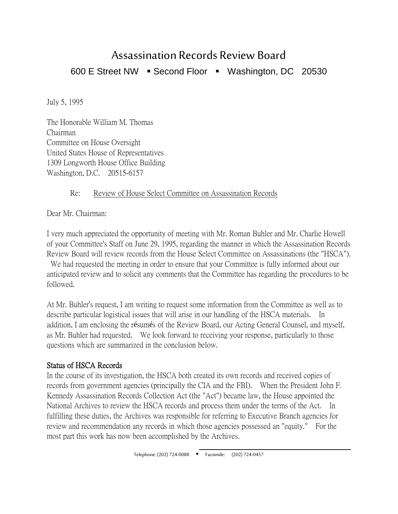# Assassination Records Review Board 600 E Street NW · Second Floor · Washington, DC 20530

July 5, 1995

The Honorable William M. Thomas Chairman Committee on House Oversight United States House of Representatives 1309 Longworth House Office Building Washington, D.C. 20515-6157

### Re: Review of House Select Committee on Assassination Records

Dear Mr. Chairman:

I very much appreciated the opportunity of meeting with Mr. Roman Buhler and Mr. Charlie Howell of your Committee's Staff on June 29, 1995, regarding the manner in which the Assassination Records Review Board will review records from the House Select Committee on Assassinations (the "HSCA").

We had requested the meeting in order to ensure that your Committee is fully informed about our anticipated review and to solicit any comments that the Committee has regarding the procedures to be followed.

At Mr. Buhler's request, I am writing to request some information from the Committee as well as to describe particular logistical issues that will arise in our handling of the HSCA materials. In addition, I am enclosing the résumés of the Review Board, our Acting General Counsel, and myself, as Mr. Buhler had requested. We look forward to receiving your response, particularly to those questions which are summarized in the conclusion below.

## Status of HSCA Records

In the course of its investigation, the HSCA both created its own records and received copies of records from government agencies (principally the CIA and the FBI). When the President John F. Kennedy Assassination Records Collection Act (the "Act") became law, the House appointed the National Archives to review the HSCA records and process them under the terms of the Act. In fulfilling these duties, the Archives was responsible for referring to Executive Branch agencies for review and recommendation any records in which those agencies possessed an "equity." For the most part this work has now been accomplished by the Archives.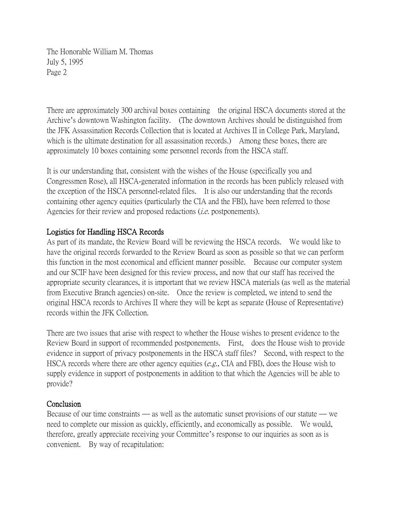The Honorable William M. Thomas July 5, 1995 Page 2

There are approximately 300 archival boxes containing the original HSCA documents stored at the Archive's downtown Washington facility. (The downtown Archives should be distinguished from the JFK Assassination Records Collection that is located at Archives II in College Park, Maryland, which is the ultimate destination for all assassination records.) Among these boxes, there are approximately 10 boxes containing some personnel records from the HSCA staff.

It is our understanding that, consistent with the wishes of the House (specifically you and Congressmen Rose), all HSCA-generated information in the records has been publicly released with the exception of the HSCA personnel-related files. It is also our understanding that the records containing other agency equities (particularly the CIA and the FBI), have been referred to those Agencies for their review and proposed redactions *(i.e.* postponements).

## Logistics for Handling HSCA Records

As part of its mandate, the Review Board will be reviewing the HSCA records. We would like to have the original records forwarded to the Review Board as soon as possible so that we can perform this function in the most economical and efficient manner possible. Because our computer system and our SCIF have been designed for this review process, and now that our staff has received the appropriate security clearances, it is important that we review HSCA materials (as well as the material from Executive Branch agencies) on-site. Once the review is completed, we intend to send the original HSCA records to Archives II where they will be kept as separate (House of Representative) records within the JFK Collection.

There are two issues that arise with respect to whether the House wishes to present evidence to the Review Board in support of recommended postponements. First, does the House wish to provide evidence in support of privacy postponements in the HSCA staff files? Second, with respect to the HSCA records where there are other agency equities (e.g., CIA and FBI), does the House wish to supply evidence in support of postponements in addition to that which the Agencies will be able to provide?

### **Conclusion**

Because of our time constraints — as well as the automatic sunset provisions of our statute — we need to complete our mission as quickly, efficiently, and economically as possible. We would, therefore, greatly appreciate receiving your Committee's response to our inquiries as soon as is convenient. By way of recapitulation: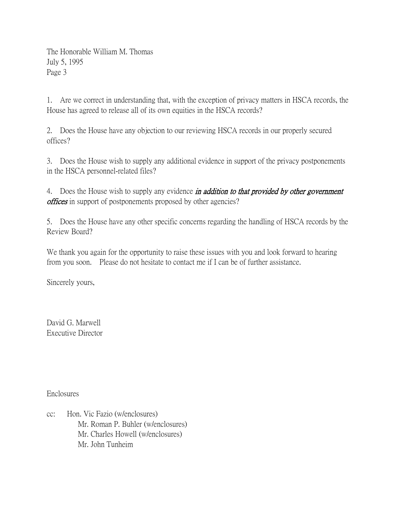The Honorable William M. Thomas July 5, 1995 Page 3

1. Are we correct in understanding that, with the exception of privacy matters in HSCA records, the House has agreed to release all of its own equities in the HSCA records?

2. Does the House have any objection to our reviewing HSCA records in our properly secured offices?

3. Does the House wish to supply any additional evidence in support of the privacy postponements in the HSCA personnel-related files?

4. Does the House wish to supply any evidence *in addition to that provided by other government offices* in support of postponements proposed by other agencies?

5. Does the House have any other specific concerns regarding the handling of HSCA records by the Review Board?

We thank you again for the opportunity to raise these issues with you and look forward to hearing from you soon. Please do not hesitate to contact me if I can be of further assistance.

Sincerely yours,

David G. Marwell Executive Director

Enclosures

cc: Hon. Vic Fazio (w/enclosures) Mr. Roman P. Buhler (w/enclosures) Mr. Charles Howell (w/enclosures) Mr. John Tunheim